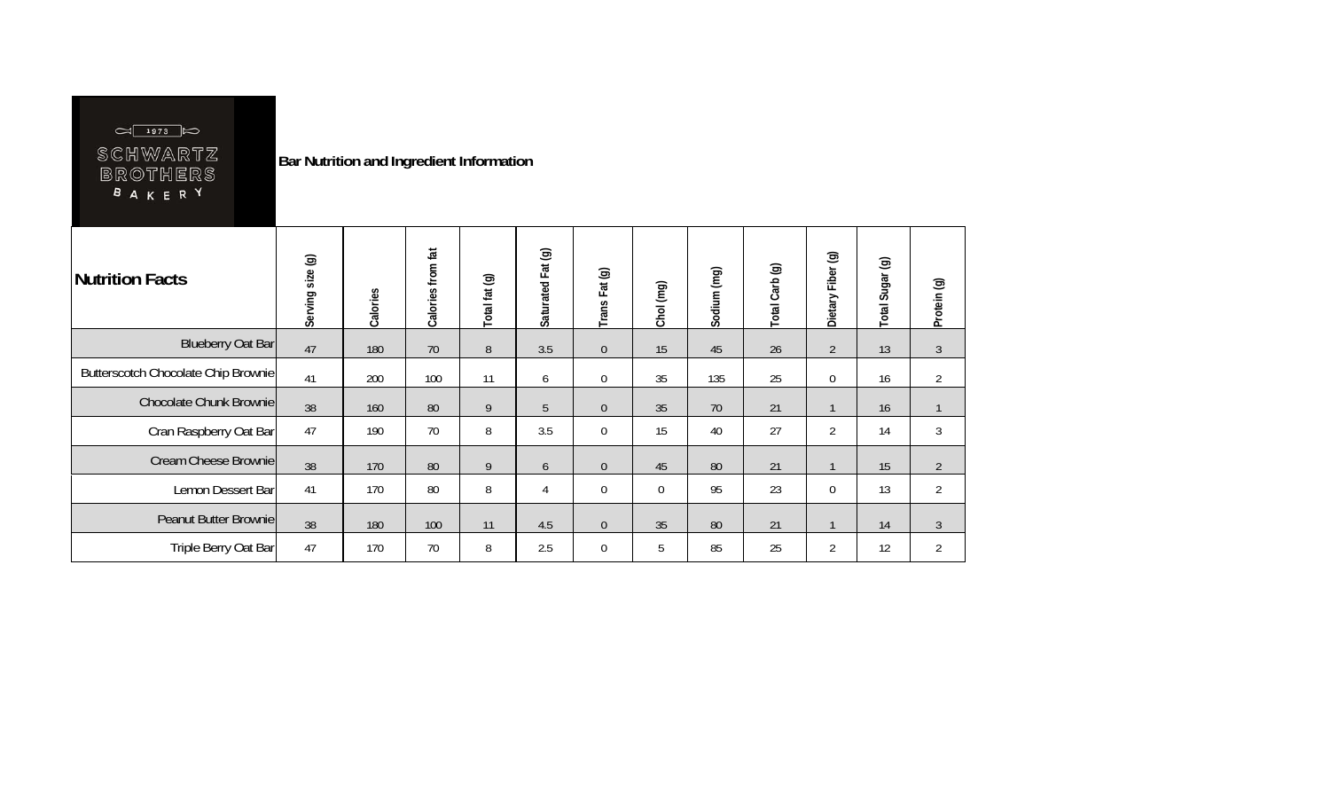| $\Box$ 1973 $\Box$ |
|--------------------|
| SCHWARTZ           |
| BROTHERS           |
| <b>BAKERY</b>      |
|                    |

**Bar Nutrition and Ingredient Information** 

| Nutrition Facts                     | Serving size (g) | Calories | Calories from fat | Total fat (g) | Saturated Fat (g) | Trans Fat (g)    | Chol (mg)   | Sodium (mg) | Total Carb (g) | Fiber (g)<br>Dietary | Total Sugar (g) | Protein (g)    |
|-------------------------------------|------------------|----------|-------------------|---------------|-------------------|------------------|-------------|-------------|----------------|----------------------|-----------------|----------------|
| <b>Blueberry Oat Bar</b>            | 47               | 180      | $70$              | 8             | 3.5               | $\overline{0}$   | 15          | 45          | 26             | $\overline{2}$       | 13              | $\mathfrak{Z}$ |
| Butterscotch Chocolate Chip Brownie | 41               | 200      | 100               | 11            | 6                 | $\overline{0}$   | 35          | 135         | 25             | $\overline{0}$       | 16              | $\overline{2}$ |
| <b>Chocolate Chunk Brownie</b>      | 38               | 160      | 80                | 9             | 5                 | $\overline{0}$   | 35          | 70          | 21             |                      | 16              | $\mathbf{1}$   |
| Cran Raspberry Oat Bar              | 47               | 190      | 70                | 8             | 3.5               | $\boldsymbol{0}$ | 15          | 40          | 27             | $\overline{2}$       | 14              | 3              |
| Cream Cheese Brownie                | 38               | 170      | 80                | 9             | 6                 | $\overline{0}$   | 45          | 80          | 21             |                      | 15              | $\overline{2}$ |
| Lemon Dessert Bar                   | 41               | 170      | 80                | 8             | 4                 | $\overline{0}$   | $\mathbf 0$ | 95          | 23             | $\mathbf{0}$         | 13              | $\overline{2}$ |
| Peanut Butter Brownie               | 38               | 180      | 100               | 11            | 4.5               | $\overline{0}$   | 35          | 80          | 21             |                      | 14              | $\mathfrak{Z}$ |
| Triple Berry Oat Bar                | 47               | 170      | 70                | 8             | 2.5               | $\boldsymbol{0}$ | 5           | 85          | 25             | $\overline{2}$       | 12              | $\overline{2}$ |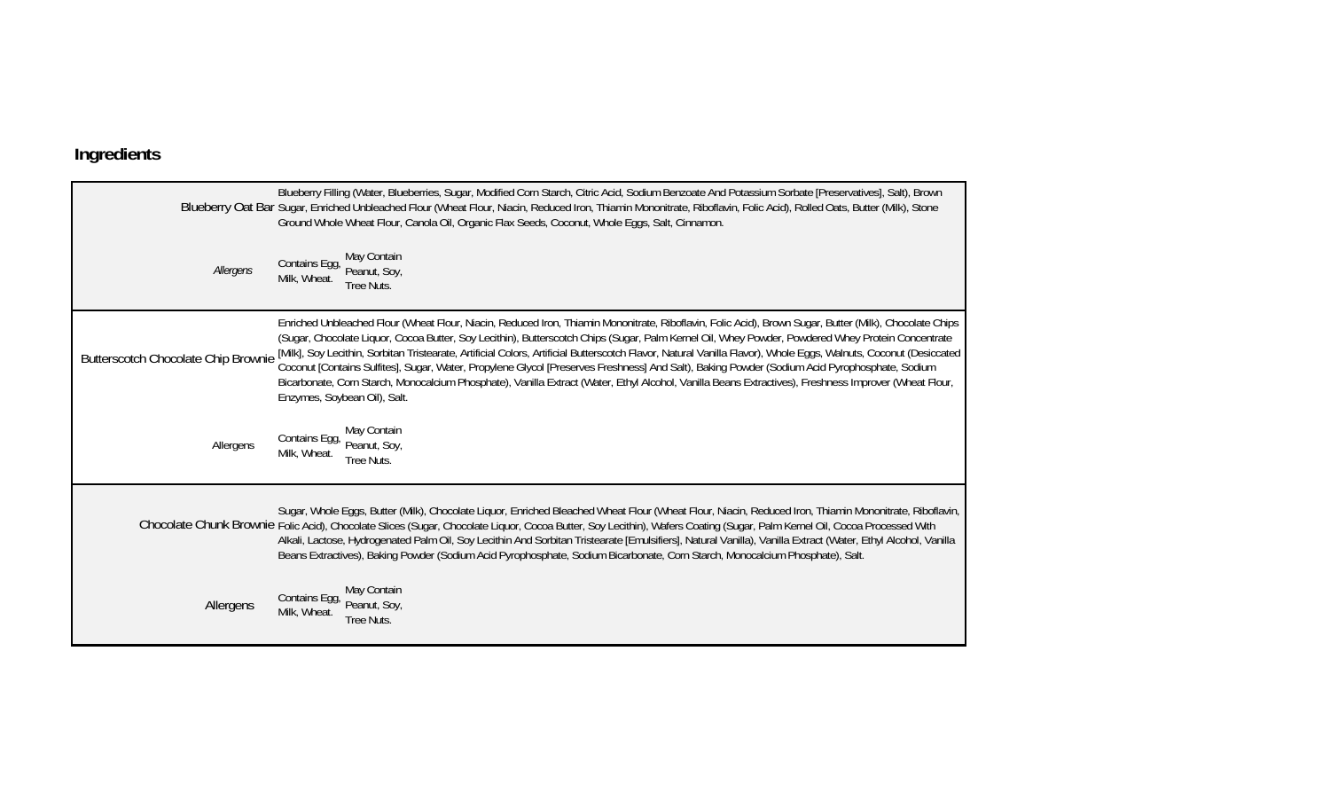## **Ingredients**

|                                     | Blueberry Filling (Water, Blueberries, Sugar, Modified Corn Starch, Citric Acid, Sodium Benzoate And Potassium Sorbate [Preservatives], Salt), Brown<br>Blueberry Oat Bar Sugar, Enriched Unbleached Flour (Wheat Flour, Niacin, Reduced Iron, Thiamin Mononitrate, Riboflavin, Folic Acid), Rolled Oats, Butter (Milk), Stone<br>Ground Whole Wheat Flour, Canola Oil, Organic Flax Seeds, Coconut, Whole Eggs, Salt, Cinnamon.                                                                                                                                                                                                                                                                                                                                                                                           |
|-------------------------------------|----------------------------------------------------------------------------------------------------------------------------------------------------------------------------------------------------------------------------------------------------------------------------------------------------------------------------------------------------------------------------------------------------------------------------------------------------------------------------------------------------------------------------------------------------------------------------------------------------------------------------------------------------------------------------------------------------------------------------------------------------------------------------------------------------------------------------|
| Allergens                           | May Contain<br>Contains Egg,<br>Peanut, Soy,<br>Milk, Wheat.<br>Tree Nuts.                                                                                                                                                                                                                                                                                                                                                                                                                                                                                                                                                                                                                                                                                                                                                 |
| Butterscotch Chocolate Chip Brownie | Enriched Unbleached Flour (Wheat Flour, Niacin, Reduced Iron, Thiamin Mononitrate, Riboflavin, Folic Acid), Brown Sugar, Butter (Milk), Chocolate Chips<br>(Sugar, Chocolate Liquor, Cocoa Butter, Soy Lecithin), Butterscotch Chips (Sugar, Palm Kernel Oil, Whey Powder, Powdered Whey Protein Concentrate<br>[Milk], Soy Lecithin, Sorbitan Tristearate, Artificial Colors, Artificial Butterscotch Flavor, Natural Vanilla Flavor), Whole Eggs, Walnuts, Coconut (Desiccated<br>Coconut [Contains Sulfites], Sugar, Water, Propylene Glycol [Preserves Freshness] And Salt), Baking Powder (Sodium Acid Pyrophosphate, Sodium<br>Bicarbonate, Corn Starch, Monocalcium Phosphate), Vanilla Extract (Water, Ethyl Alcohol, Vanilla Beans Extractives), Freshness Improver (Wheat Flour,<br>Enzymes, Soybean Oil), Salt. |
| Allergens                           | May Contain<br>Contains Egg,<br>Peanut, Soy,<br>Milk, Wheat.<br>Tree Nuts.                                                                                                                                                                                                                                                                                                                                                                                                                                                                                                                                                                                                                                                                                                                                                 |
|                                     | Sugar, Whole Eggs, Butter (Milk), Chocolate Liquor, Enriched Bleached Wheat Flour (Wheat Flour, Niacin, Reduced Iron, Thiamin Mononitrate, Riboflavin,<br>Chocolate Chunk Brownie Folic Acid), Chocolate Slices (Sugar, Chocolate Liquor, Cocoa Butter, Soy Lecithin), Wafers Coating (Sugar, Palm Kernel Oil, Cocoa Processed With<br>Alkali, Lactose, Hydrogenated Palm Oil, Soy Lecithin And Sorbitan Tristearate [Emulsifiers], Natural Vanilla), Vanilla Extract (Water, Ethyl Alcohol, Vanilla<br>Beans Extractives), Baking Powder (Sodium Acid Pyrophosphate, Sodium Bicarbonate, Corn Starch, Monocalcium Phosphate), Salt.                                                                                                                                                                                       |
| Allergens                           | May Contain<br>Contains Egg,<br>Peanut, Soy,<br>Milk, Wheat.<br>Tree Nuts.                                                                                                                                                                                                                                                                                                                                                                                                                                                                                                                                                                                                                                                                                                                                                 |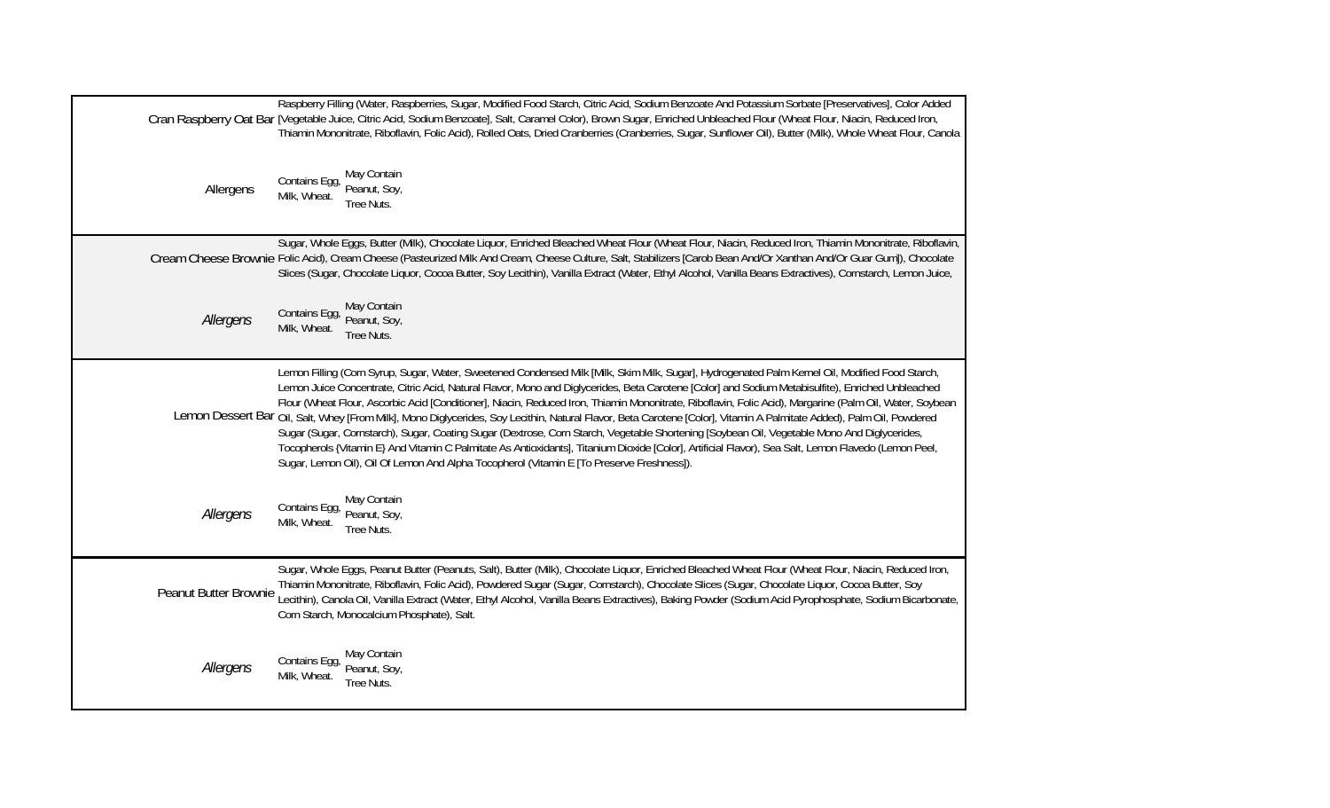|                       | Raspberry Filling (Water, Raspberries, Sugar, Modified Food Starch, Citric Acid, Sodium Benzoate And Potassium Sorbate [Preservatives], Color Added<br>Cran Raspberry Oat Bar [Vegetable Juice, Citric Acid, Sodium Benzoate], Salt, Caramel Color), Brown Sugar, Enriched Unbleached Flour (Wheat Flour, Niacin, Reduced Iron,<br>Thiamin Mononitrate, Riboflavin, Folic Acid), Rolled Oats, Dried Cranberries (Cranberries, Sugar, Sunflower Oil), Butter (Milk), Whole Wheat Flour, Canola                                                                                                                                                                                                                                                                                                                                                                                                                                                                                                                                                 |
|-----------------------|-----------------------------------------------------------------------------------------------------------------------------------------------------------------------------------------------------------------------------------------------------------------------------------------------------------------------------------------------------------------------------------------------------------------------------------------------------------------------------------------------------------------------------------------------------------------------------------------------------------------------------------------------------------------------------------------------------------------------------------------------------------------------------------------------------------------------------------------------------------------------------------------------------------------------------------------------------------------------------------------------------------------------------------------------|
| Allergens             | May Contain<br>Contains Egg,<br>Peanut, Soy,<br>Milk, Wheat.<br>Tree Nuts.                                                                                                                                                                                                                                                                                                                                                                                                                                                                                                                                                                                                                                                                                                                                                                                                                                                                                                                                                                    |
|                       | Sugar, Whole Eggs, Butter (Milk), Chocolate Liquor, Enriched Bleached Wheat Flour (Wheat Flour, Niacin, Reduced Iron, Thiamin Mononitrate, Riboflavin,<br>Cream Cheese Brownie Folic Acid), Cream Cheese (Pasteurized Milk And Cream, Cheese Culture, Salt, Stabilizers [Carob Bean And/Or Xanthan And/Or Guar Gum]), Chocolate<br>Slices (Sugar, Chocolate Liquor, Cocoa Butter, Soy Lecithin), Vanilla Extract (Water, Ethyl Alcohol, Vanilla Beans Extractives), Cornstarch, Lemon Juice,                                                                                                                                                                                                                                                                                                                                                                                                                                                                                                                                                  |
| Allergens             | May Contain<br>Contains Egg,<br>Peanut, Soy,<br>Milk, Wheat.<br>Tree Nuts.                                                                                                                                                                                                                                                                                                                                                                                                                                                                                                                                                                                                                                                                                                                                                                                                                                                                                                                                                                    |
|                       | Lemon Filling (Corn Syrup, Sugar, Water, Sweetened Condensed Milk [Milk, Skim Milk, Sugar], Hydrogenated Palm Kernel Oil, Modified Food Starch,<br>Lemon Juice Concentrate, Citric Acid, Natural Flavor, Mono and Diglycerides, Beta Carotene [Color] and Sodium Metabisulfite), Enriched Unbleached<br>Flour (Wheat Flour, Ascorbic Acid [Conditioner], Niacin, Reduced Iron, Thiamin Mononitrate, Riboflavin, Folic Acid), Margarine (Palm Oil, Water, Soybean<br>Lemon Dessert Bar Oil, Salt, Whey [From Milk], Mono Diglycerides, Soy Lecithin, Natural Flavor, Beta Carotene [Color], Vitamin A Palmitate Added), Palm Oil, Powdered<br>Sugar (Sugar, Cornstarch), Sugar, Coating Sugar (Dextrose, Corn Starch, Vegetable Shortening [Soybean Oil, Vegetable Mono And Diglycerides,<br>Tocopherols {Vitamin E} And Vitamin C Palmitate As Antioxidants], Titanium Dioxide [Color], Artificial Flavor), Sea Salt, Lemon Flavedo (Lemon Peel,<br>Sugar, Lemon Oil), Oil Of Lemon And Alpha Tocopherol (Vitamin E [To Preserve Freshness]). |
| Allergens             | May Contain<br>Contains Egg,<br>Peanut, Soy,<br>Milk, Wheat.<br>Tree Nuts.                                                                                                                                                                                                                                                                                                                                                                                                                                                                                                                                                                                                                                                                                                                                                                                                                                                                                                                                                                    |
| Peanut Butter Brownie | Sugar, Whole Eggs, Peanut Butter (Peanuts, Salt), Butter (Milk), Chocolate Liquor, Enriched Bleached Wheat Flour (Wheat Flour, Niacin, Reduced Iron,<br>Thiamin Mononitrate, Riboflavin, Folic Acid), Powdered Sugar (Sugar, Cornstarch), Chocolate Slices (Sugar, Chocolate Liquor, Cocoa Butter, Soy<br>Lecithin), Canola Oil, Vanilla Extract (Water, Ethyl Alcohol, Vanilla Beans Extractives), Baking Powder (Sodium Acid Pyrophosphate, Sodium Bicarbonate,<br>Corn Starch, Monocalcium Phosphate), Salt.                                                                                                                                                                                                                                                                                                                                                                                                                                                                                                                               |
| Allergens             | May Contain<br>Contains Egg,<br>Peanut, Soy,<br>Milk, Wheat.<br>Tree Nuts.                                                                                                                                                                                                                                                                                                                                                                                                                                                                                                                                                                                                                                                                                                                                                                                                                                                                                                                                                                    |